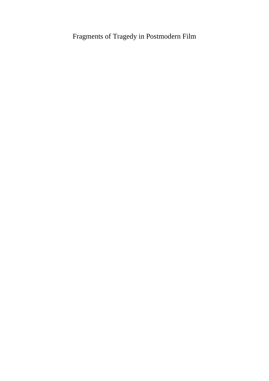## Fragments of Tragedy in Postmodern Film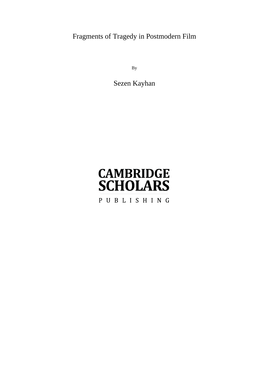Fragments of Tragedy in Postmodern Film

By

Sezen Kayhan

# **CAMBRIDGE SCHOLARS** PUBLISHING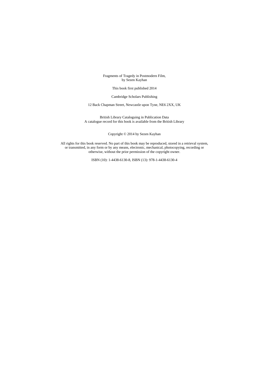Fragments of Tragedy in Postmodern Film, by Sezen Kayhan

This book first published 2014

Cambridge Scholars Publishing

12 Back Chapman Street, Newcastle upon Tyne, NE6 2XX, UK

British Library Cataloguing in Publication Data A catalogue record for this book is available from the British Library

Copyright © 2014 by Sezen Kayhan

All rights for this book reserved. No part of this book may be reproduced, stored in a retrieval system, or transmitted, in any form or by any means, electronic, mechanical, photocopying, recording or otherwise, without the prior permission of the copyright owner.

ISBN (10): 1-4438-6130-8, ISBN (13): 978-1-4438-6130-4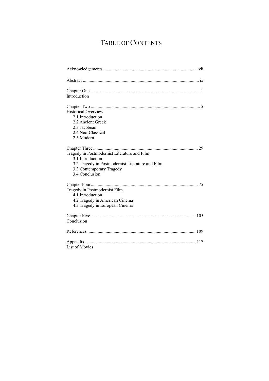## TABLE OF CONTENTS

| Introduction                                                                                                                                                       |
|--------------------------------------------------------------------------------------------------------------------------------------------------------------------|
| <b>Historical Overview</b><br>2.1 Introduction<br>2.2 Ancient Greek<br>2.3 Jacobean<br>2.4 Neo-Classical<br>2.5 Modern                                             |
| Tragedy in Postmodernist Literature and Film<br>3.1 Introduction<br>3.2 Tragedy in Postmodernist Literature and Film<br>3.3 Contemporary Tragedy<br>3.4 Conclusion |
| Tragedy in Postmodernist Film<br>4.1 Introduction<br>4.2 Tragedy in American Cinema<br>4.3 Tragedy in European Cinema                                              |
| Conclusion                                                                                                                                                         |
|                                                                                                                                                                    |
| List of Movies                                                                                                                                                     |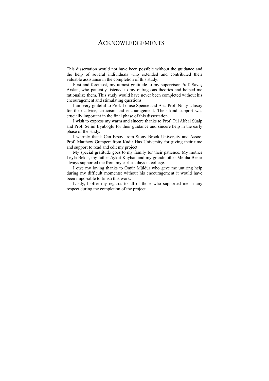### ACKNOWLEDGEMENTS

This dissertation would not have been possible without the guidance and the help of several individuals who extended and contributed their valuable assistance in the completion of this study.

First and foremost, my utmost gratitude to my supervisor Prof. Savaş Arslan, who patiently listened to my outrageous theories and helped me rationalize them. This study would have never been completed without his encouragement and stimulating questions.

I am very grateful to Prof. Louise Spence and Ass. Prof. Nilay Ulusoy for their advice, criticism and encouragement. Their kind support was crucially important in the final phase of this dissertation.

I wish to express my warm and sincere thanks to Prof. Tül Akbal Süalp and Prof. Selim Eyüboğlu for their guidance and sincere help in the early phase of the study.

I warmly thank Can Ersoy from Stony Brook University and Assoc. Prof. Matthew Gumpert from Kadir Has University for giving their time and support to read and edit my project.

My special gratitude goes to my family for their patience. My mother Leyla Bekar, my father Aykut Kayhan and my grandmother Meliha Bekar always supported me from my earliest days in college.

I owe my loving thanks to Ömür Müldür who gave me untiring help during my difficult moments: without his encouragement it would have been impossible to finish this work.

Lastly, I offer my regards to all of those who supported me in any respect during the completion of the project.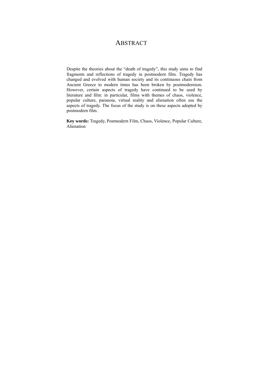## **ABSTRACT**

Despite the theories about the "death of tragedy", this study aims to find fragments and reflections of tragedy in postmodern film. Tragedy has changed and evolved with human society and its continuous chain from Ancient Greece to modern times has been broken by postmodernism. However, certain aspects of tragedy have continued to be used by literature and film: in particular, films with themes of chaos, violence, popular culture, paranoia, virtual reality and alienation often use the aspects of tragedy. The focus of the study is on these aspects adopted by postmodern film.

**Key words:** Tragedy, Postmodern Film, Chaos, Violence, Popular Culture, Alienation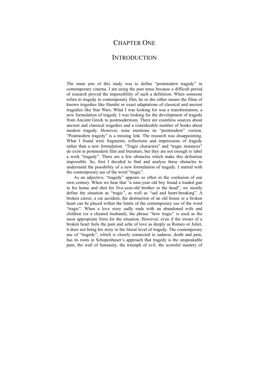## CHAPTER ONE

### **INTRODUCTION**

The main aim of this study was to define "postmodern tragedy" in contemporary cinema. I am using the past tense because a difficult period of research proved the impossibility of such a definition. When someone refers to tragedy in contemporary film, he or she either means the films of known tragedies like Hamlet or exact adaptations of classical and ancient tragedies like Star Wars. What I was looking for was a transformation, a new formulation of tragedy. I was looking for the development of tragedy from Ancient Greek to postmodernism. There are countless sources about ancient and classical tragedies and a considerable number of books about modern tragedy. However, none mentions its "postmodern" version. "Postmodern tragedy" is a missing link. The research was disappointing. What I found were fragments, reflections and impressions of tragedy rather than a new formulation. "Tragic characters" and "tragic instances" do exist in postmodern film and literature, but they are not enough to label a work "tragedy". There are a few obstacles which make this definition impossible. So, first I decided to find and analyse these obstacles to understand the possibility of a new formulation of tragedy. I started with the contemporary use of the word "tragic".

 As an adjective, "tragedy" appears so often in the confusion of our own century. When we hear that "a nine-year old boy found a loaded gun in his home and shot his five-year-old brother in the head", we mostly define the situation as "tragic", as well as "sad and heart-breaking". A broken career, a car accident, the destruction of an old house or a broken heart can be placed within the limits of the contemporary use of the word "tragic". When a love story sadly ends with an abandoned wife and children (or a cheated husband), the phrase "how tragic" is used as the most appropriate form for the situation. However, even if the owner of a broken heart feels the pain and ache of love as deeply as Romeo or Juliet, it does not bring his story to the literal level of tragedy. The contemporary use of "tragedy", which is closely connected to sadness, death and pain, has its roots in Schopenhauer's approach that tragedy is the unspeakable pain, the wail of humanity, the triumph of evil, the scornful mastery of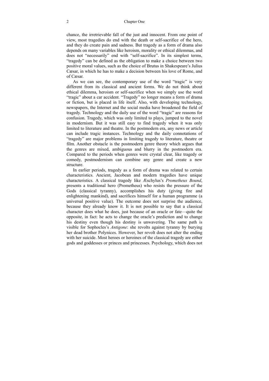#### 2 Chapter One

chance, the irretrievable fall of the just and innocent. From one point of view, most tragedies do end with the death or self-sacrifice of the hero, and they do create pain and sadness. But tragedy as a form of drama also depends on many variables like heroism, morality or ethical dilemmas, and does not "necessarily" end with "self-sacrifice". In its simplest terms, "tragedy" can be defined as the obligation to make a choice between two positive moral values, such as the choice of Brutus in Shakespeare's Julius Cæsar, in which he has to make a decision between his love of Rome, and of Cæsar.

As we can see, the contemporary use of the word "tragic" is very different from its classical and ancient forms. We do not think about ethical dilemma, heroism or self-sacrifice when we simply use the word "tragic" about a car accident. "Tragedy" no longer means a form of drama or fiction, but is placed in life itself. Also, with developing technology, newspapers, the Internet and the social media have broadened the field of tragedy. Technology and the daily use of the word "tragic" are reasons for confusion. Tragedy, which was only limited to plays, jumped to the novel in modernism. But it was still easy to find tragedy when it was only limited to literature and theatre. In the postmodern era, any news or article can include tragic instances. Technology and the daily connotations of "tragedy" are major problems in limiting tragedy to literature, theatre or film. Another obstacle is the postmodern genre theory which argues that the genres are mixed, ambiguous and blurry in the postmodern era. Compared to the periods when genres were crystal clear, like tragedy or comedy, postmodernism can combine any genre and create a new structure.

In earlier periods, tragedy as a form of drama was related to certain characteristics. Ancient, Jacobean and modern tragedies have unique characteristics. A classical tragedy like Æschylus's *Prometheus Bound*, presents a traditional hero (Prometheus) who resists the pressure of the Gods (classical tyranny), accomplishes his duty (giving fire and enlightening mankind), and sacrifices himself for a human programme (a universal positive value). The outcome does not surprise the audience, because they already know it. It is not possible to say that a classical character does what he does, just because of an oracle or fate—quite the opposite, in fact: he acts to change the oracle's prediction and to change his destiny even though his destiny is unwavering. The same path is visible for Sophocles's *Antigone*: she revolts against tyranny by burying her dead brother Polynices. However, her revolt does not alter the ending with her suicide. Most heroes or heroines of the classical tragedy are either gods and goddesses or princes and princesses. Psychology, which does not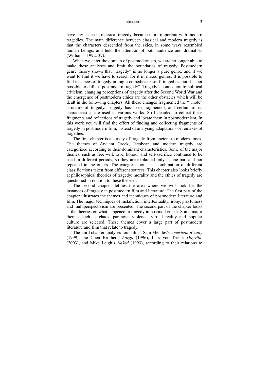#### Introduction 3

have any space in classical tragedy, became more important with modern tragedies. The main difference between classical and modern tragedy is that the characters descended from the skies, in some ways resembled human beings, and held the attention of both audience and dramatists (Williams, 1992: 37).

When we enter the domain of postmodernism, we are no longer able to make these analyses and limit the boundaries of tragedy. Postmodern genre theory shows that "tragedy" is no longer a pure genre, and if we want to find it we have to search for it in mixed genres. It is possible to find instances of tragedy in tragic-comedies or sci-fi tragedies, but it is not possible to define "postmodern tragedy". Tragedy's connection to political criticism, changing perceptions of tragedy after the Second World War and the emergence of postmodern ethics are the other obstacles which will be dealt in the following chapters. All these changes fragmented the "whole" structure of tragedy. Tragedy has been fragmented, and certain of its characteristics are used in various works. So I decided to collect these fragments and reflections of tragedy and locate them in postmodernism. In this work you will find the effort of finding and collecting fragments of tragedy in postmodern film, instead of analysing adaptations or remakes of tragedies.

The first chapter is a survey of tragedy from ancient to modern times. The themes of Ancient Greek, Jacobean and modern tragedy are categorized according to their dominant characteristics. Some of the major themes, such as free will, love, honour and self-sacrifice continued to be used in different periods, so they are explained only in one part and not repeated in the others. The categorization is a combination of different classifications taken from different sources. This chapter also looks briefly at philosophical theories of tragedy; morality and the ethics of tragedy are questioned in relation to these theories.

The second chapter defines the area where we will look for the instances of tragedy in postmodern film and literature. The first part of the chapter illustrates the themes and techniques of postmodern literature and film. The major techniques of metafiction, intertextuality, irony, playfulness and multiperspectivism are presented. The second part of the chapter looks at the theories on what happened to tragedy in postmodernism. Some major themes such as chaos, paranoia, violence, virtual reality and popular culture are selected. These themes cover a large part of postmodern literature and film that relate to tragedy.

The third chapter analyses four films; Sam Mendes's *American Beauty*  (1999), the Coen Brothers' *Fargo* (1996), Lars Von Trier's *Dogville*  (2003), and Mike Leigh's *Naked* (1993), according to their relations to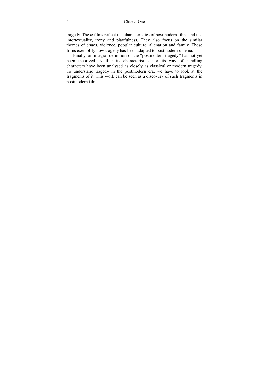tragedy. These films reflect the characteristics of postmodern films and use intertextuality, irony and playfulness. They also focus on the similar themes of chaos, violence, popular culture, alienation and family. These films exemplify how tragedy has been adapted to postmodern cinema.

Finally, an integral definition of the "postmodern tragedy" has not yet been theorized. Neither its characteristics nor its way of handling characters have been analysed as closely as classical or modern tragedy. To understand tragedy in the postmodern era, we have to look at the fragments of it. This work can be seen as a discovery of such fragments in postmodern film.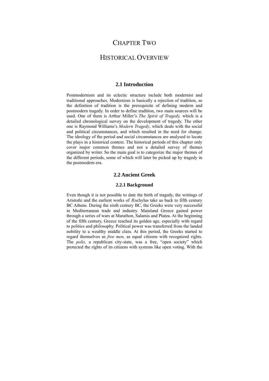## CHAPTER TWO

## HISTORICAL OVERVIEW

#### **2.1 Introduction**

Postmodernism and its eclectic structure include both modernist and traditional approaches. Modernism is basically a rejection of tradition, so the definition of tradition is the prerequisite of defining modern and postmodern tragedy. In order to define tradition, two main sources will be used. One of them is Arthur Miller's *The Spirit of Tragedy,* which is a detailed chronological survey on the development of tragedy. The other one is Raymond Williams's *Modern Tragedy*, which deals with the social and political circumstances, and which resulted in the need for change. The ideology of the period and social circumstances are analysed to locate the plays in a historical context. The historical periods of this chapter only cover major common themes and not a detailed survey of themes organized by writer. So the main goal is to categorize the major themes of the different periods, some of which will later be picked up by tragedy in the postmodern era.

#### **2.2 Ancient Greek**

#### **2.2.1 Background**

Even though it is not possible to date the birth of tragedy, the writings of Aristotle and the earliest works of Æschylus take us back to fifth century BC Athens. During the sixth century BC, the Greeks were very successful in Mediterranean trade and industry. Mainland Greece gained power through a series of wars at Marathon, Salamis and Platea. At the beginning of the fifth century, Greece reached its golden age, especially with regard to politics and philosophy. Political power was transferred from the landed nobility to a wealthy middle class. At this period, the Greeks started to regard themselves as *free men,* as equal citizens with recognized rights. The *polis,* a republican city-state, was a free, "open society" which protected the rights of its citizens with systems like open voting. With the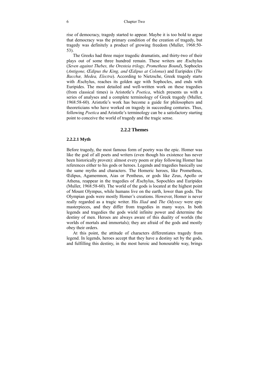rise of democracy, tragedy started to appear. Maybe it is too bold to argue that democracy was the primary condition of the creation of tragedy, but tragedy was definitely a product of growing freedom (Muller, 1968:50- 53).

The Greeks had three major tragedic dramatists, and thirty-two of their plays out of some three hundred remain. These writers are Æschylus (*Seven against Thebes, the Oresteia trilogy, Prometheus Bound*), Sophocles (*Antigone, Œdipus the King, and Œdipus at Colonus*) and Euripides (*The Bacchæ, Medea, Electra*). According to Nietzsche, Greek tragedy starts with Æschylus, reaches its golden age with Sophocles, and ends with Euripides. The most detailed and well-written work on these tragedies (from classical times) is Aristotle's *Poetica*, which presents us with a series of analyses and a complete terminology of Greek tragedy (Muller, 1968:58-60). Aristotle's work has become a guide for philosophers and theoreticians who have worked on tragedy in succeeding centuries. Thus, following *Poetica* and Aristotle's terminology can be a satisfactory starting point to conceive the world of tragedy and the tragic sense.

#### **2.2.2 Themes**

#### **2.2.2.1 Myth**

Before tragedy, the most famous form of poetry was the epic. Homer was like the god of all poets and writers (even though his existence has never been historically proven): almost every poem or play following Homer has references either to his gods or heroes. Legends and tragedies basically use the same myths and characters. The Homeric heroes, like Prometheus, Œdipus, Agamemnon, Aias or Pentheus, or gods like Zeus, Apollo or Athena, reappear in the tragedies of Æschylus, Sopochles and Euripides (Muller, 1968:58-60). The world of the gods is located at the highest point of Mount Olympus, while humans live on the earth, lower than gods. The Olympian gods were mostly Homer's creations. However, Homer is never really regarded as a tragic writer. His *Iliad* and *The Odyssey* were epic masterpieces, and they differ from tragedies in many ways. In both legends and tragedies the gods wield infinite power and determine the destiny of men. Heroes are always aware of this duality of worlds (the worlds of mortals and immortals); they are afraid of the gods and mostly obey their orders.

At this point, the attitude of characters differentiates tragedy from legend. In legends, heroes accept that they have a destiny set by the gods, and fulfilling this destiny, in the most heroic and honourable way, brings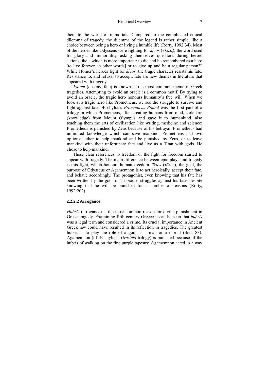them to the world of immortals. Compared to the complicated ethical dilemma of tragedy, the dilemma of the legend is rather simple, like a choice between being a hero or living a humble life (Rorty, 1992:34). Most of the heroes like Odysseus were fighting for *kleos* (κλέος), the word used for glory and immortality, asking themselves questions during heroic actions like, "which is more important: to die and be remembered as a hero [to live forever, in other words] or to give up and be a regular person?" While Homer's heroes fight for *kleos*, the tragic character resists his fate. Resistance to, and refusal to accept, fate are new themes in literature that appeared with tragedy.

*Fatum* (destiny, fate) is known as the most common theme in Greek tragedies. Attempting to avoid an oracle is a common motif. By trying to avoid an oracle, the tragic hero honours humanity's free will. When we look at a tragic hero like Prometheus, we see the struggle to survive and fight against fate. Æschylus's *Prometheus Bound* was the first part of a trilogy in which Prometheus, after creating humans from mud, stole fire (knowledge) from Mount Olympus and gave it to humankind, also teaching them the arts of civilization like writing, medicine and science: Prometheus is punished by Zeus because of his betrayal. Prometheus had unlimited knowledge which can save mankind. Prometheus had two options: either to help mankind and be punished by Zeus, or to leave mankind with their unfortunate fate and live as a Titan with gods. He chose to help mankind.

These clear references to freedom or the fight for freedom started to appear with tragedy. The main difference between epic plays and tragedy is this fight, which honours human freedom. *Telos* (τέλοϛ), the goal, the purpose of Odysseus or Agamemnon is to act heroically, accept their fate, and behave accordingly. The protagonist, even knowing that his fate has been written by the gods or an oracle, struggles against his fate, despite knowing that he will be punished for a number of reasons (Rorty, 1992:202).

#### **2.2.2.2 Arrogance**

*Hubris* (arrogance) is the most common reason for divine punishment in Greek tragedy. Examining fifth century Greece it can be seen that *hubris*  was a legal term and considered a crime. Its crucial importance in Ancient Greek law could have resulted in its reflection in tragedies. The greatest hubris is to play the role of a god, as a man or a mortal (ibid:183). Agamemnon (of Æschylus's *Oresteia* trilogy) is punished because of the hubris of walking on the fine purple tapestry. Agamemnon acted in a way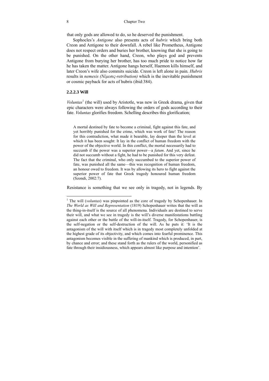that only gods are allowed to do, so he deserved the punishment.

Sophocles's *Antigone* also presents acts of *hubris* which bring both Creon and Antigone to their downfall. A rebel like Prometheus, Antigone does not respect orders and buries her brother, knowing that she is going to be punished. On the other hand, Creon, who plays god and prevents Antigone from burying her brother, has too much pride to notice how far he has taken the matter. Antigone hangs herself, Haemon kills himself, and later Creon's wife also commits suicide. Creon is left alone in pain. *Hubris* results in *nemesis (Νέμεσις-retribution)* which is the inevitable punishment or cosmic payback for acts of hubris (ibid:384).

#### **2.2.2.3 Will**

 $\overline{a}$ 

*Voluntas*<sup>1</sup> (the will) used by Aristotle, was new in Greek drama, given that epic characters were always following the orders of gods according to their fate. *Voluntas* glorifies freedom. Schelling describes this glorification;

A mortal destined by fate to become a criminal, fight against this fate, and yet horribly punished for the crime, which was work of fate! The reason for this contradiction, what made it bearable, lay deeper than the level at which it has been sought: It lay in the conflict of human freedom with the power of the objective world. In this conflict, the mortal necessarily had to succumb if the power was a superior power—a *fatum*. And yet, since he did not succumb without a fight, he had to be punished for this very defeat. The fact that the criminal, who only succumbed to the superior power of fate, was punished all the same—this was recognition of human freedom, an honour owed to freedom. It was by allowing its hero to fight against the superior power of fate that Greek tragedy honoured human freedom (Szondi, 2002:7).

Resistance is something that we see only in tragedy, not in legends. By

<sup>&</sup>lt;sup>1</sup> The will (*voluntas*) was pinpointed as the core of tragedy by Schopenhauer. In *The World as Will and Representation* (1819) Schopenhauer writes that the will as the thing-in-itself is the source of all phenomena. Individuals are destined to serve their will, and what we see in tragedy is the will's diverse manifestations battling against each other or the battle of the will-in-itself. Tragedy, for Schopenhauer, is the self-negation or the self-destruction of the will. As he puts it: 'It is the antagonism of the will with itself which is in tragedy most completely unfolded at the highest grade of its objectivity, and which comes into fearful prominence. This antagonism becomes visible in the suffering of mankind which is produced, in part, by chance and error; and these stand forth as the rulers of the world, personified as fate through their insidiousness, which appears almost like purpose and intention'.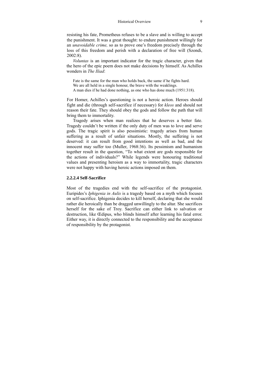resisting his fate, Prometheus refuses to be a slave and is willing to accept the punishment. It was a great thought: to endure punishment willingly for an *unavoidable crime,* so as to prove one's freedom precisely through the loss of this freedom and perish with a declaration of free will (Szondi, 2002:8).

*Voluntas* is an important indicator for the tragic character, given that the hero of the epic poem does not make decisions by himself. As Achilles wonders in *The Iliad*:

Fate is the same for the man who holds back, the same if he fights hard. We are all held in a single honour, the brave with the weaklings. A man dies if he had done nothing, as one who has done much (1951:318).

For Homer, Achilles's questioning is not a heroic action. Heroes should fight and die (through self-sacrifice if necessary) for *kleos* and should not reason their fate. They should obey the gods and follow the path that will bring them to immortality.

Tragedy arises when man realizes that he deserves a better fate. Tragedy couldn't be written if the only duty of men was to love and serve gods. The tragic spirit is also pessimistic: tragedy arises from human suffering as a result of unfair situations. Mostly, the suffering is not deserved: it can result from good intentions as well as bad, and the innocent may suffer too (Muller, 1968:36). Its pessimism and humanism together result in the question, "To what extent are gods responsible for the actions of individuals?" While legends were honouring traditional values and presenting heroism as a way to immortality, tragic characters were not happy with having heroic actions imposed on them.

#### **2.2.2.4 Self-Sacrifice**

Most of the tragedies end with the self-sacrifice of the protagonist. Euripides's *Iphigenia in Aulis* is a tragedy based on a myth which focuses on self-sacrifice. Iphigenia decides to kill herself, declaring that she would rather die heroically than be dragged unwillingly to the altar. She sacrifices herself for the sake of Troy. Sacrifice can either link to salvation or destruction, like Œdipus, who blinds himself after learning his fatal error. Either way, it is directly connected to the responsibility and the acceptance of responsibility by the protagonist.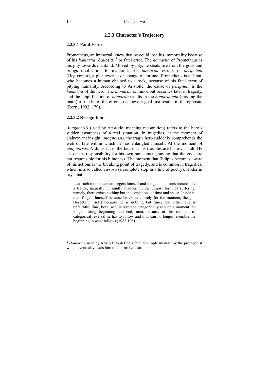#### **2.2.3 Character's Trajectory**

#### **2.2.3.1 Fatal Error**

Prometheus, an immortal, knew that he could lose his immortality because of his *hamartia* (ἀμαρτία),<sup>2</sup> or fatal error. The *hamartia* of Prometheus is his pity towards mankind. Moved by pity, he steals fire from the gods and brings civilization to mankind. His *hamartia* results in *peripeteia*  (Περιπέτεια), a plot reversal or change of fortune. Prometheus is a Titan, who becomes a human chained to a rock, because of his fatal error of pitying humanity. According to Aristotle, the cause of *peripiteia* is the *hamartia* of the hero. The *hamartia* is minor but becomes fatal in tragedy, and the amplification of *hamartia* results in the *hamartanein* (missing the mark) of the hero: the effort to achieve a goal just results in the opposite (Rorty, 1992: 179).

#### **2.2.3.2 Recognition**

 $\overline{a}$ 

*Anagnorisis* (used by Aristotle, meaning recognition) refers to the hero's sudden awareness of a real situation. In tragedies, at the moment of clairvoyant insight, *anagnorisis*, the tragic hero suddenly comprehends the web of fate within which he has entangled himself. At the moment of *anagnorisis, Œ*dipus faces the fact that his troubles are his own fault. He also takes responsibility for his own punishment, saying that the gods are not responsible for his blindness. The moment that Œdipus becomes aware of his actions is the breaking point of tragedy, and is common in tragedies, which is also called *cæsura* (a complete stop in a line of poetry). Höderlin says that

…at such moments man forgets himself and the god and turns around like a traitor, naturally in saintly manner. In the utmost form of suffering, namely, there exists nothing but the conditions of time and space. Inside it, man forgets himself because he exists entirely for the moment, the god [forgets himself] because he is nothing but time; and either one is unfaithful, time, because it is reversed categorically at such a moment, no longer fitting beginning and end; man, because at this moment of categorical reversal he has to follow and thus can no longer resemble the beginning in what follows (1988:108).

<sup>&</sup>lt;sup>2</sup> Hamartia, used by Aristotle to define a fatal or simple mistake by the protagonist which eventually leads him to the final catastrophe.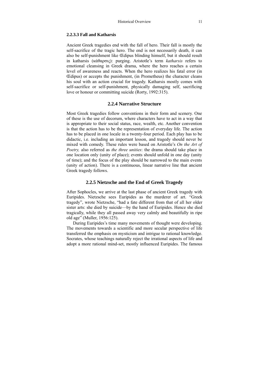#### **2.2.3.3 Fall and Katharsis**

Ancient Greek tragedies end with the fall of hero. Their fall is mostly the self-sacrifice of the tragic hero. The end is not necessarily death, it can also be self-punishment like Œdipus blinding himself, but it should result in katharsis (κάθαρσις): purging. Aristotle's term *katharsis* refers to emotional cleansing in Greek drama, where the hero reaches a certain level of awareness and reacts. When the hero realizes his fatal error (in Œdipus) or accepts the punishment, (in Prometheus) the character cleans his soul with an action crucial for tragedy. Katharsis mostly comes with self-sacrifice or self-punishment, physically damaging self, sacrificing love or honour or committing suicide (Rorty, 1992:315).

#### **2.2.4 Narrative Structure**

Most Greek tragedies follow conventions in their form and scenery. One of these is the use of decorum, where characters have to act in a way that is appropriate to their social status, race, wealth, etc. Another convention is that the action has to be the representation of everyday life. The action has to be placed in one locale in a twenty-four period. Each play has to be didactic, i.e. including an important lesson, and tragedy should never be mixed with comedy. These rules were based on Aristotle's *On the Art of Poetry,* also referred as *the three unities*: the drama should take place in one location only (unity of place); events should unfold in one day (unity of time); and the focus of the play should be narrowed to the main events (unity of action). There is a continuous, linear narrative line that ancient Greek tragedy follows.

#### **2.2.5 Nietzsche and the End of Greek Tragedy**

After Sophocles, we arrive at the last phase of ancient Greek tragedy with Euripides. Nietzsche sees Euripides as the murderer of art. "Greek tragedy", wrote Nietzsche, "had a fate different from that of all her older sister arts: she died by suicide—by the hand of Euripides. Hence she died tragically, while they all passed away very calmly and beautifully in ripe old age" (Muller, 1956:125).

During Euripides's time many movements of thought were developing. The movements towards a scientific and more secular perspective of life transferred the emphasis on mysticism and intrigue to rational knowledge. Socrates, whose teachings naturally reject the irrational aspects of life and adopt a more rational mind-set, mostly influenced Euripides. The famous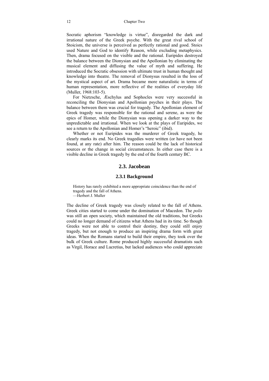Socratic aphorism "knowledge is virtue", disregarded the dark and irrational nature of the Greek psyche. With the great rival school of Stoicism, the universe is perceived as perfectly rational and good. Stoics used Nature and God to identify Reason, while excluding metaphysics. Then, drama focused on the visible and the rational. Euripides destroyed the balance between the Dionysian and the Apollonian by eliminating the musical element and diffusing the value of myth and suffering. He introduced the Socratic obsession with ultimate trust in human thought and knowledge into theatre. The removal of Dionysus resulted in the loss of the mystical aspect of art. Drama became more naturalistic in terms of human representation, more reflective of the realities of everyday life (Muller, 1968:103-5).

For Nietzsche, Æschylus and Sophocles were very successful in reconciling the Dionysian and Apollonian psyches in their plays. The balance between them was crucial for tragedy. The Apollonian element of Greek tragedy was responsible for the rational and serene, as were the epics of Homer, while the Dionysian was opening a darker way to the unpredictable and irrational. When we look at the plays of Euripides, we see a return to the Apollonian and Homer's "heroic" (ibid).

Whether or not Euripides was the murderer of Greek tragedy, he clearly marks its end. No Greek tragedies were written (or have not been found, at any rate) after him. The reason could be the lack of historical sources or the change in social circumstances. In either case there is a visible decline in Greek tragedy by the end of the fourth century BC.

#### **2.3. Jacobean**

#### **2.3.1 Background**

History has rarely exhibited a more appropriate coincidence than the end of tragedy and the fall of Athens. —Herbert J. Muller

The decline of Greek tragedy was closely related to the fall of Athens. Greek cities started to come under the domination of Macedon. The *polis* was still an open society, which maintained the old traditions, but Greeks could no longer demand of citizens what Athens had in its time. So though Greeks were not able to control their destiny, they could still enjoy tragedy, but not enough to produce an inspiring drama form with great ideas. When the Romans started to build their empire, they took over the bulk of Greek culture. Rome produced highly successful dramatists such as Virgil, Horace and Lucretius, but lacked audiences who could appreciate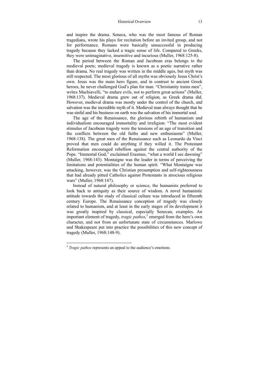and inspire the drama. Seneca, who was the most famous of Roman tragedians, wrote his plays for recitation before an invited group, and not for performance. Romans were basically unsuccessful in producing tragedy because they lacked a tragic sense of life. Compared to Greeks, they were unimaginative, insensitive and incurious (Muller, 1968:125-8).

The period between the Roman and Jacobean eras belongs to the medieval poets; medieval tragedy is known as a poetic narrative rather than drama. No real tragedy was written in the middle ages, but myth was still respected. The most glorious of all myths was obviously Jesus Christ's own. Jesus was the main hero figure, and in contrast to ancient Greek heroes, he never challenged God's plan for man. "Christianity trains men", writes Machiavelli, "to endure evils, not to perform great actions" (Muller, 1968:137). Medieval drama grew out of religion, as Greek drama did. However, medieval drama was mostly under the control of the church, and salvation was the incredible myth of it. Medieval man always thought that he was sinful and his business on earth was the salvation of his immortal soul.

The age of the Renaissance, the glorious rebirth of humanism and individualism encouraged immortality and irreligion: "The most evident stimulus of Jacobean tragedy were the tensions of an age of transition and the conflicts between the old faiths and new enthusiasms" (Muller, 1968:138). The great men of the Renaissance such as Leonardo da Vinci proved that men could do anything if they willed it. The Protestant Reformation encouraged rebellion against the central authority of the Pope. "Immortal God," exclaimed Erasmus, "what a world I see dawning" (Muller, 1968:143). Montaigne was the leader in terms of perceiving the limitations and potentialities of the human spirit. "What Montaigne was attacking, however, was the Christian presumption and self-righteousness that had already pitted Catholics against Protestants in atrocious religious wars" (Muller, 1968:147).

Instead of natural philosophy or science, the humanists preferred to look back to antiquity as their source of wisdom. A novel humanistic attitude towards the study of classical culture was introduced in fifteenth century Europe. The Renaissance conception of tragedy was closely related to humanism, and at least in the early stages of its development it was greatly inspired by classical, especially Senecan, examples. An important element of tragedy, *tragic pathos*, <sup>3</sup> emerged from the hero's own character, and not from an unfortunate state of circumstances. Marlowe and Shakespeare put into practice the possibilities of this new concept of tragedy (Muller, 1968:148-9).

 $\overline{a}$ 

<sup>&</sup>lt;sup>3</sup> *Tragic pathos* represents an appeal to the audience's emotions.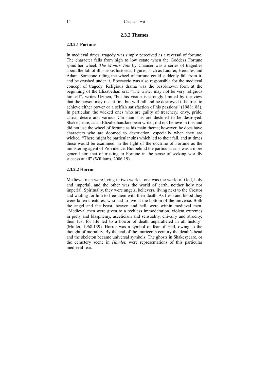#### **2.3.2 Themes**

#### **2.3.2.1 Fortune**

In medieval times, tragedy was simply perceived as a reversal of fortune. The character falls from high to low estate when the Goddess Fortune spins her wheel. *The Monk's Tale* by Chaucer was a series of tragedies about the fall of illustrious historical figures, such as Lucifer, Hercules and Adam. Someone riding the wheel of fortune could suddenly fall from it, and be crushed under it. Boccaccio was also responsible for the medieval concept of tragedy. Religious drama was the best-known form at the beginning of the Elizabethan era: "The writer may not be very religious himself", writes Uzmen, "but his vision is strongly limited by the view that the person may rise at first but will fall and be destroyed if he tries to achieve either power or a selfish satisfaction of his passions" (1988:188). In particular, the wicked ones who are guilty of treachery, envy, pride, carnal desire and various Christian sins are destined to be destroyed. Shakespeare, as an Elizabethan/Jacobean writer, did not believe in this and did not use the wheel of fortune as his main theme; however, he does have characters who are doomed to destruction, especially when they are wicked. "There might be particular sins which led to their fall, and at times these would be examined, in the light of the doctrine of Fortune as the ministering agent of Providence. But behind the particular sins was a more general sin: that of trusting to Fortune in the sense of seeking worldly success at all" (Williams, 2006:19).

#### **2.3.2.2 Horror**

Medieval men were living in two worlds: one was the world of God, holy and imperial, and the other was the world of earth, neither holy nor imperial. Spiritually, they were angels, believers, living next to the Creator and waiting for him to free them with their death. As flesh and blood they were fallen creatures, who had to live at the bottom of the universe. Both the angel and the beast, heaven and hell, were within medieval men. "Medieval men were given to a reckless immoderation, violent extremes in piety and blasphemy, asceticism and sensuality, chivalry and atrocity; their lust for life led to a horror of death unparalleled in all history" (Muller, 1968:139). Horror was a symbol of fear of Hell, owing to the thought of mortality. By the end of the fourteenth century the death's head and the skeleton became universal symbols. The ghosts in Shakespeare, or the cemetery scene in *Hamlet*, were representations of this particular medieval fear.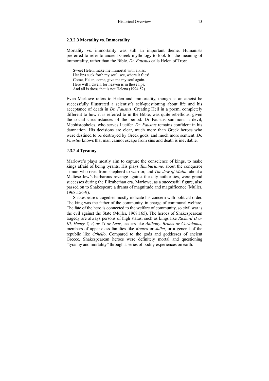#### **2.3.2.3 Mortality vs. Immortality**

Mortality vs. immortality was still an important theme. Humanists preferred to refer to ancient Greek mythology to look for the meaning of immortality, rather than the Bible. *Dr. Faustus* calls Helen of Troy:

Sweet Helen, make me immortal with a kiss. Her lips suck forth my soul: see, where it flies! Come, Helen, come, give me my soul again. Here will I dwell, for heaven is in these lips, And all is dross that is not Helena (1994:52).

Even Marlowe refers to Helen and immortality, though as an atheist he successfully illustrated a scientist's self-questioning about life and his acceptance of death in *Dr. Faustus*. Creating Hell in a poem, completely different to how it is referred to in the Bible, was quite rebellious, given the social circumstances of the period. Dr Faustus summons a devil, Mephistopheles, who serves Lucifer. *Dr. Faustus* remains confident in his damnation. His decisions are clear, much more than Greek heroes who were destined to be destroyed by Greek gods, and much more sentient. *Dr. Faustus* knows that man cannot escape from sins and death is inevitable.

#### **2.3.2.4 Tyranny**

Marlowe's plays mostly aim to capture the conscience of kings, to make kings afraid of being tyrants. His plays *Tamburlaine,* about the conqueror Timur, who rises from shepherd to warrior, and *The Jew of Malta*, about a Maltese Jew's barbarous revenge against the city authorities, were grand successes during the Elizabethan era. Marlowe, as a successful figure, also passed on to Shakespeare a drama of magnitude and magnificence (Muller, 1968:156-9).

Shakespeare's tragedies mostly indicate his concern with political order. The king was the father of the community, in charge of communal welfare. The fate of the hero is connected to the welfare of community, so civil war is the evil against the State (Muller, 1968:165). The heroes of Shakespearean tragedy are always persons of high status, such as kings like *Richard II or III, Henry V, V, or VI or Lear*, leaders like *Anthony, Brutus or Coriolanus*, members of upper-class families like *Romeo* or *Juliet*, or a general of the republic like *Othello*. Compared to the gods and goddesses of ancient Greece, Shakespearean heroes were definitely mortal and questioning "tyranny and mortality" through a series of bodily experiences on earth.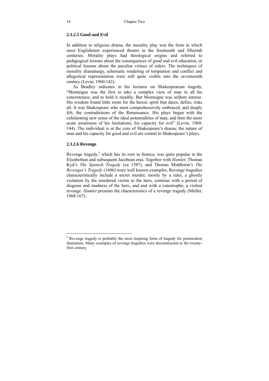#### **2.3.2.5 Good and Evil**

In addition to religious drama, the morality play was the form in which most Englishmen experienced theatre in the fourteenth and fifteenth centuries. Morality plays had theological origins and referred to pedagogical lessons about the consequences of good and evil education, or political lessons about the peculiar virtues of rulers. The techniques of morality dramaturgy, schematic rendering of temptation and conflict and allegorical representation were still quite visible into the seventeenth century (Levin, 1960:142).

As Bradley indicates in his lectures on Shakespearean tragedy, "Montaigne was the first to take a complex view of man in all his concreteness, and to hold it steadily. But Montaigne was seldom intense. His wisdom found little room for the heroic spirit that dares, defies, risks all. It was Shakespeare who most comprehensively embraced, and deeply felt, the contradictions of the Renaissance. His plays began with the exhilarating new sense of the ideal potentialities of man, and then the more acute awareness of his limitations, his capacity for evil" (Levin, 1960: 144). The individual is at the core of Shakespeare's drama; the nature of man and his capacity for good and evil are central to Shakespeare's plays.

#### **2.3.2.6 Revenge**

 $\overline{a}$ 

Revenge tragedy, $4$  which has its root in Seneca, was quite popular in the Elizabethan and subsequent Jacobean eras. Together with *Hamlet,* Thomas Kyd's *The Spanish Tragedy* (ca 1587), and Thomas Middleton's *The Revenger's Tragedy* (1606) were well known examples, Revenge tragedies characteristically include a secret murder, mostly by a ruler, a ghostly visitation by the murdered victim to the hero, continue with a period of disguise and madness of the hero, and end with a catastrophe, a violent revenge. *Hamlet* presents the characteristics of a revenge tragedy (Muller, 1968:167).

<sup>&</sup>lt;sup>4</sup> Revenge tragedy is probably the most inspiring form of tragedy for postmodern dramatists. Many examples of revenge tragedies were deconstructed in the twentyfirst century.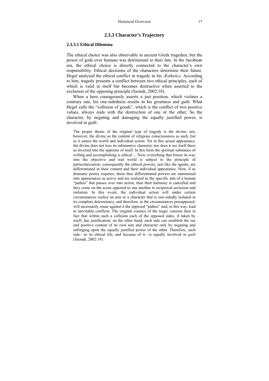#### **2.3.3 Character's Trajectory**

#### **2.3.3.1 Ethical Dilemma**

The ethical choice was also observable in ancient Greek tragedies, but the power of gods over humans was detrimental to their fate. In the Jacobean era, the ethical choice is directly connected to the character's own responsibility. Ethical decisions of the characters determine their future. Hegel analysed the ethical conflict in tragedy in his *Æsthetics*. According to him, tragedy presents a conflict between two ethical principles, each of which is valid in itself but becomes destructive when asserted to the exclusion of the opposing principle (Szondi, 2002:18).

When a hero courageously asserts a just position, which violates a contrary one, his one-sidedness results in his greatness and guilt. What Hegel calls the "collision of goods", which is the conflict of two positive values, always ends with the destruction of one or the other. So the character, by negating and damaging the equally justified power, is involved in guilt:

The proper theme of the original type of tragedy is the divine; not, however, the divine as the content of religious consciousness as such, but as it enters the world and individual action. Yet in this actual appearance, the divine does not lose its substantive character, nor does it see itself there as inverted into the opposite of itself. In this form the spiritual substance of willing and accomplishing is ethical ... Now, everything that forces its way into the objective and real world is subject to the principle of particularization; consequently the ethical powers, just like the agents, are differentiated in their content and their individual appearance. Now, if as dramatic poetry requires, these thus differentiated powers are summoned into appearances as active and are realized as the specific aim of a human "pathos" that passes over into action, then their harmony is cancelled and they come on the scene opposed to one another in reciprocal seclusion and isolation. In this event, the individual action will under certain circumstances realize an aim or a character that is one-sidedly isolated in its complete determinacy, and therefore, in the circumstances presupposed, will necessarily rouse against it the opposed "pathos" and, in this way, lead to inevitable conflicts. The original essence of the tragic consists then in fact that within such a collision each of the opposed sides, if taken by itself, has justification; on the other hand, each side can establish the rue and positive content of its own aim and character only by negating and infringing upon the equally justified power of the other. Therefore, each side—in its ethical life, and because of it—is equally involved in *guilt*  (Szondi, 2002:19).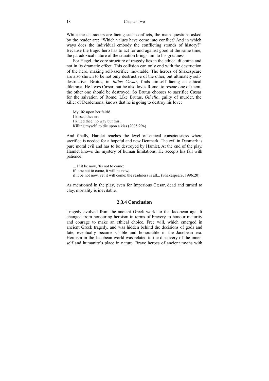While the characters are facing such conflicts, the main questions asked by the reader are: "Which values have come into conflict? And in which ways does the individual embody the conflicting strands of history?" Because the tragic hero has to act for and against good at the same time, the paradoxical nature of the situation brings him to his greatness.

For Hegel, the core structure of tragedy lies in the ethical dilemma and not in its dramatic effect. This collision can only end with the destruction of the hero, making self-sacrifice inevitable. The heroes of Shakespeare are also shown to be not only destructive of the other, but ultimately selfdestructive. Brutus, in *Julius Cæsar*, finds himself facing an ethical dilemma. He loves Cæsar, but he also loves Rome: to rescue one of them, the other one should be destroyed. So Brutus chooses to sacrifice Cæsar for the salvation of Rome. Like Brutus, *Othello*, guilty of murder, the killer of Desdemona, knows that he is going to destroy his love:

My life upon her faith! I kissed thee ere I killed thee; no way but this, Killing myself, to die upon a kiss (2005:294)

And finally, Hamlet reaches the level of ethical consciousness where sacrifice is needed for a hopeful and new Denmark. The evil in Denmark is pure moral evil and has to be destroyed by Hamlet. At the end of the play, Hamlet knows the mystery of human limitations. He accepts his fall with patience:

... If it be now, 'tis not to come; if it be not to come, it will be now; if it be not now, yet it will come: the readiness is all... (Shakespeare, 1996:20).

As mentioned in the play, even for Imperious Cæsar, dead and turned to clay, mortality is inevitable.

#### **2.3.4 Conclusion**

Tragedy evolved from the ancient Greek world to the Jacobean age. It changed from honouring heroism in terms of bravery to honour maturity and courage to make an ethical choice. Free will, which emerged in ancient Greek tragedy, and was hidden behind the decisions of gods and fate, eventually became visible and honourable in the Jacobean era. Heroism in the Jacobean world was related to the discovery of the innerself and humanity's place in nature. Brave heroes of ancient myths with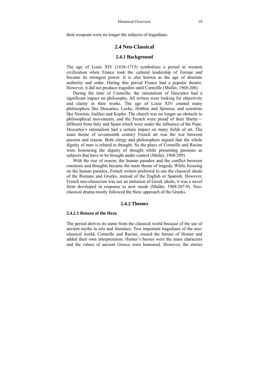their weapons were no longer the subjects of tragedians.

#### **2.4 Neo-Classical**

#### **2.4.1 Background**

The age of Louis XIV (1638-1715) symbolizes a period in western civilization when France took the cultural leadership of Europe and became its strongest power. It is also known as the age of absolute authority and order. During this period France had a popular theatre. However, it did not produce tragedies until Corneille (Muller, 1968:208).

During the time of Corneille, the rationalism of Descartes had a significant impact on philosophy. All writers were looking for objectivity and clarity in their works. The age of Louis XIV created many philosophers like Descartes, Locke, Hobbes and Spinoza, and scientists like Newton, Galileo and Kepler. The church was no longer an obstacle to philosophical movements, and the French were proud of their liberty different from Italy and Spain which were under the influence of the Pope. Descartes's rationalism had a certain impact on many fields of art. The main theme of seventeenth century French art was the war between passion and reason. Both clergy and philosophers argued that the whole dignity of man is related to thought. So the plays of Corneille and Racine were honouring the dignity of thought while presenting passions as subjects that have to be brought under control (Muller, 1968:209).

With the rise of reason, the human paradox and the conflict between emotions and thoughts became the main theme of tragedy. While focusing on the human paradox, French writers preferred to use the classical ideals of the Romans and Greeks, instead of the English or Spanish. However, French neo-classicism was not an imitation of Greek ideals, it was a novel form developed in response to new needs (Muller, 1968:207-9). Neoclassical drama mostly followed the Stoic approach of the Greeks.

#### **2.4.2 Themes**

#### **2.4.2.1 Return of the Hero**

The period derives its name from the classical world because of the use of ancient myths in arts and literature. Two important tragedians of the neoclassical world, Corneille and Racine, reused the heroes of Homer and added their own interpretation. Homer's heroes were the main characters and the values of ancient Greece were honoured. However, the stories